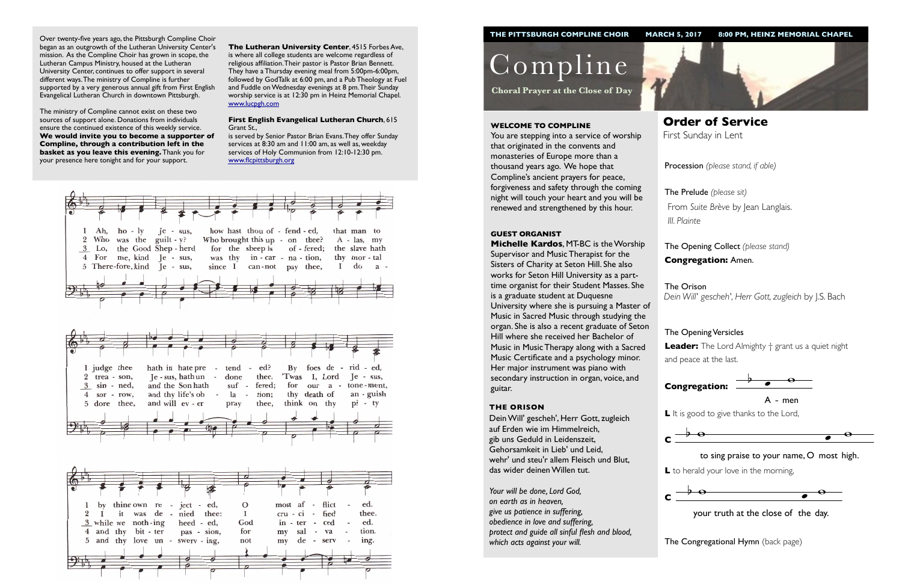

**L** to herald your love in the morning,  $\ddot{\phantom{0}}$ 

Procession *(please stand, if able)*

The Opening Collect *(please stand)* **Congregation:** Amen.

# The Opening Versicles

**Leader:** The Lord Almighty † grant us a quiet night and peace at the last.



Compline

**Choral Prayer at the Close of Day**

**Order of Service**  First Sunday in Lent

#### **WELCOME TO COMPLINE**

You are stepping into a service of worship that originated in the convents and monasteries of Europe more than a thousand years ago. We hope that Compline's ancient prayers for peace, forgiveness and safety through the coming night will touch your heart and you will be renewed and strengthened by this hour.

The Prelude *(please sit)* From *Suite Brève* by Jean Langlais. *III. Plainte*

#### **GUEST ORGANIST**

The Orison *Dein Will' gescheh', Herr Gott, zugleich* by J.S. Bach



 $\lambda$ A - men

L It is good to give thanks to the Lord,

**Michelle Kardos**, MT-BC is the Worship Supervisor and Music Therapist for the Sisters of Charity at Seton Hill. She also works for Seton Hill University as a parttime organist for their Student Masses. She is a graduate student at Duquesne University where she is pursuing a Master of Music in Sacred Music through studying the organ. She is also a recent graduate of Seton Hill where she received her Bachelor of Music in Music Therapy along with a Sacred Music Certificate and a psychology minor. Her major instrument was piano with secondary instruction in organ, voice, and guitar.



#### **THE ORISON**



 $\frac{1}{2}$  your truth at the close of the day.

**The Congregational Hymn** (back page)

Dein Will' gescheh', Herr Gott, zugleich auf Erden wie im Himmelreich, gib uns Geduld in Leidenszeit, Gehorsamkeit in Lieb' und Leid, wehr' und steu'r allem Fleisch und Blut, das wider deinen Willen tut.



*Your will be done, Lord God, on earth as in heaven, give us patience in suffering, obedience in love and suffering, protect and guide all sinful flesh and blood, which acts against your will.*

Over twenty-five years ago, the Pittsburgh Compline Choir began as an outgrowth of the Lutheran University Center's mission. As the Compline Choir has grown in scope, the Lutheran Campus Ministry, housed at the Lutheran University Center, continues to offer support in several different ways. The ministry of Compline is further supported by a very generous annual gift from First English Evangelical Lutheran Church in downtown Pittsburgh.

The ministry of Compline cannot exist on these two sources of support alone. Donations from individuals ensure the continued existence of this weekly service. **We would invite you to become a supporter of Compline, through a contribution left in the basket as you leave this evening.** Thank you for your presence here tonight and for your support.

**The Lutheran University Center**, 4515 Forbes Ave, is where all college students are welcome regardless of religious affiliation. Their pastor is Pastor Brian Bennett. They have a Thursday evening meal from 5:00pm-6:00pm, followed by GodTalk at 6:00 pm, and a Pub Theology at Fuel and Fuddle on Wednesday evenings at 8 pm. Their Sunday worship service is at 12:30 pm in Heinz Memorial Chapel. [www.lucpgh.com](http://www.lucpgh.com)

#### **First English Evangelical Lutheran Church**, 615 Grant St.,

is served by Senior Pastor Brian Evans. They offer Sunday services at 8:30 am and 11:00 am, as well as, weekday services of Holy Communion from 12:10-12:30 pm. [www.flcpittsburgh.org](http://www.flcpittsburgh.org)